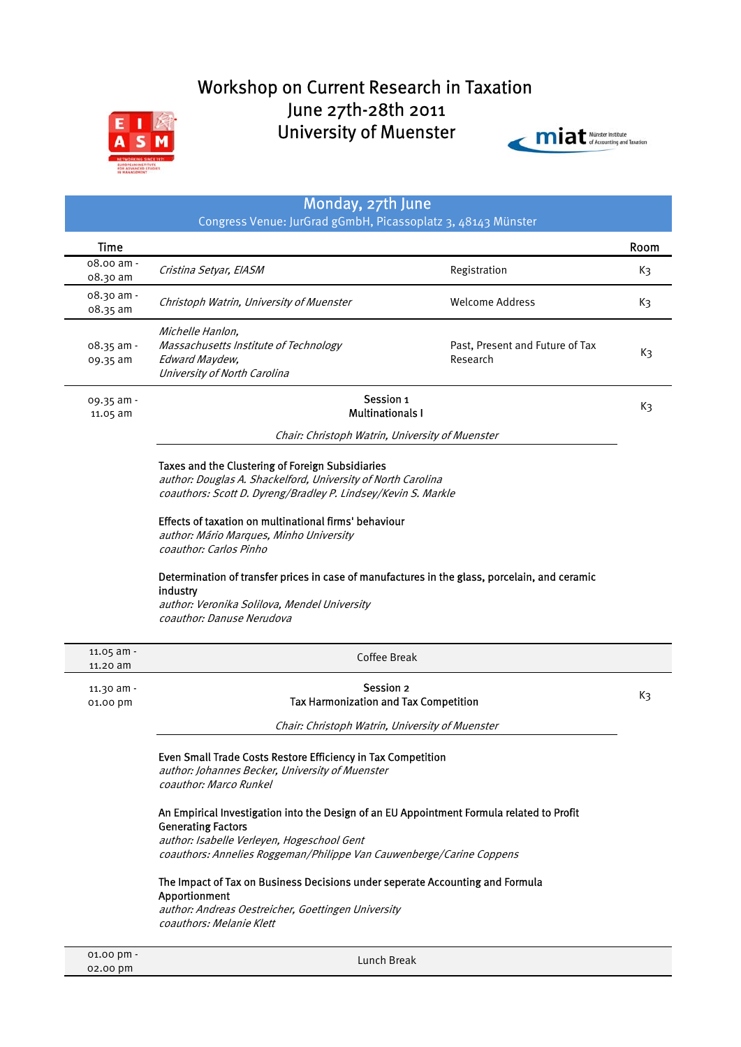# Workshop on Current Research in Taxation June 27th-28th 2011 University of Muenster





# Monday, 27th June

Congress Venue: JurGrad gGmbH, Picassoplatz 3, 48143 Münster

| <b>Time</b>                      |                                                                                                             |                                             | Room |
|----------------------------------|-------------------------------------------------------------------------------------------------------------|---------------------------------------------|------|
| $08.00 \text{ am}$ -<br>08.30 am | Cristina Setyar, EIASM                                                                                      | Registration                                | Kз   |
| 08.30 am -<br>08.35 am           | Christoph Watrin, University of Muenster                                                                    | Welcome Address                             | Kз   |
| $08.35$ am -<br>09.35 am         | Michelle Hanlon.<br>Massachusetts Institute of Technology<br>Edward Maydew.<br>University of North Carolina | Past, Present and Future of Tax<br>Research | Kз   |
| $09.35$ am -<br>11.05 am         | Session 1<br><b>Multinationals I</b>                                                                        |                                             | Kз   |

Chair: Christoph Watrin, University of Muenster

# Taxes and the Clustering of Foreign Subsidiaries

author: Douglas A. Shackelford, University of North Carolina coauthors: Scott D. Dyreng/Bradley P. Lindsey/Kevin S. Markle

# Effects of taxation on multinational firms' behaviour

author: Mário Marques, Minho University coauthor: Carlos Pinho

# Determination of transfer prices in case of manufactures in the glass, porcelain, and ceramic industry

author: Veronika Solilova, Mendel University coauthor: Danuse Nerudova

| $11.05$ am -<br>$11.20$ am | Coffee Break                                                                                                                                                                                                                                 |    |
|----------------------------|----------------------------------------------------------------------------------------------------------------------------------------------------------------------------------------------------------------------------------------------|----|
| $11.30$ am -<br>01.00 pm   | Session 2<br><b>Tax Harmonization and Tax Competition</b>                                                                                                                                                                                    | Kз |
|                            | Chair: Christoph Watrin, University of Muenster                                                                                                                                                                                              |    |
|                            | Even Small Trade Costs Restore Efficiency in Tax Competition<br>author: Johannes Becker, University of Muenster<br>coauthor: Marco Runkel                                                                                                    |    |
|                            | An Empirical Investigation into the Design of an EU Appointment Formula related to Profit<br><b>Generating Factors</b><br>author: Isabelle Verleyen, Hogeschool Gent<br>coauthors: Annelies Roggeman/Philippe Van Cauwenberge/Carine Coppens |    |
|                            | The Impact of Tax on Business Decisions under seperate Accounting and Formula                                                                                                                                                                |    |

#### Apportionment

author: Andreas Oestreicher, Goettingen University coauthors: Melanie Klett

Lunch Break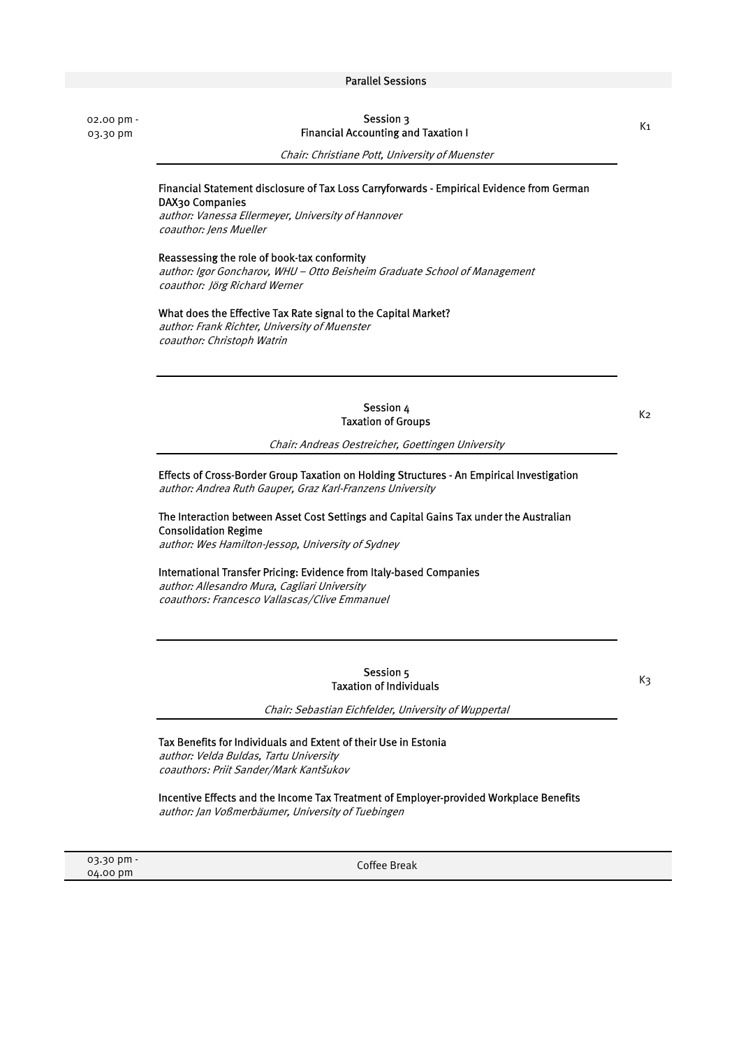# Parallel Sessions

 02.00 pm - 03.30 pm

# Session 3 Financial Accounting and Taxation I

Chair: Christiane Pott, University of Muenster

# Financial Statement disclosure of Tax Loss Carryforwards - Empirical Evidence from German DAX30 Companies

author: Vanessa Ellermeyer, University of Hannover coauthor: Jens Mueller

#### Reassessing the role of book-tax conformity

author: Igor Goncharov, WHU – Otto Beisheim Graduate School of Management coauthor: Jörg Richard Werner

#### What does the Effective Tax Rate signal to the Capital Market?

author: Frank Richter, University of Muenster coauthor: Christoph Watrin

> Session 4 Taxation of Groups

K2

 $K<sub>1</sub>$ 

Chair: Andreas Oestreicher, Goettingen University

Effects of Cross-Border Group Taxation on Holding Structures - An Empirical Investigation author: Andrea Ruth Gauper, Graz Karl-Franzens University

The Interaction between Asset Cost Settings and Capital Gains Tax under the Australian Consolidation Regime

author: Wes Hamilton-Jessop, University of Sydney

#### International Transfer Pricing: Evidence from Italy-based Companies

author: Allesandro Mura, Cagliari University coauthors: Francesco Vallascas/Clive Emmanuel

> Session 5 Taxation of Individuals

K3

Chair: Sebastian Eichfelder, University of Wuppertal

#### Tax Benefits for Individuals and Extent of their Use in Estonia

author: Velda Buldas, Tartu University coauthors: Priit Sander/Mark Kantšukov

Incentive Effects and the Income Tax Treatment of Employer-provided Workplace Benefits author: Jan Voßmerbäumer, University of Tuebingen

 03.30 pm - 04.00 pm

Coffee Break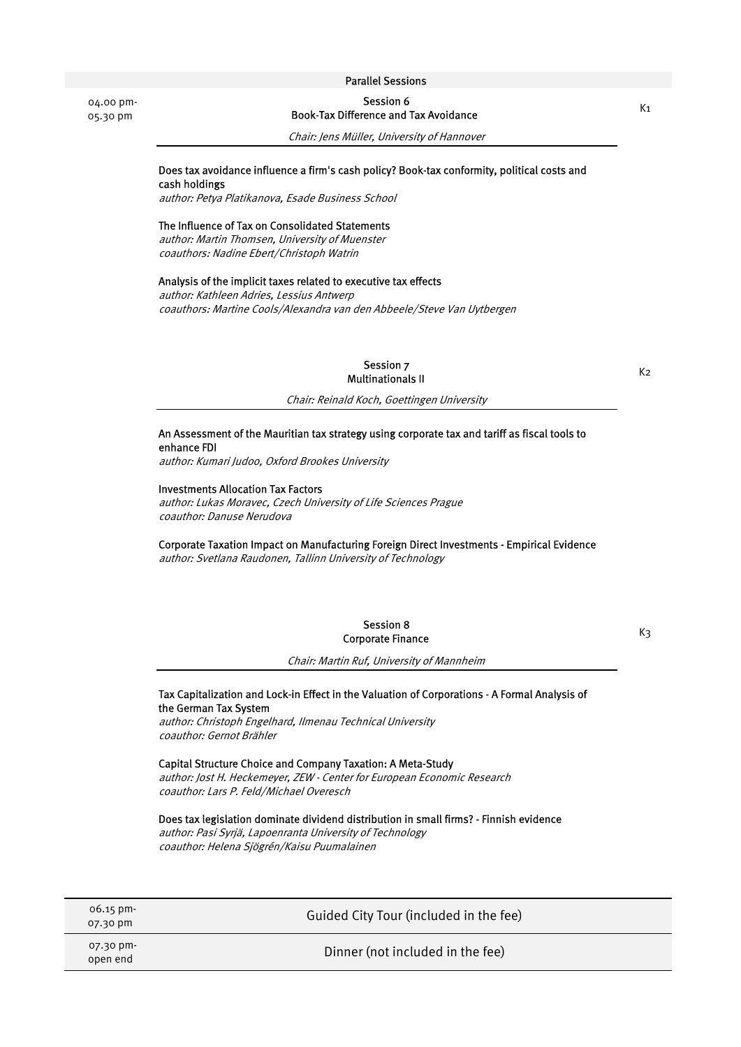04.00 pm-05.30 pm

Session 6 Book-Tax Difference and Tax Avoidance

Chair: Jens Müller, University of Hannover

#### Does tax avoidance influence a firm's cash policy? Book-tax conformity, political costs and cash holdings

author: Petya Platikanova, Esade Business School

#### The Influence of Tax on Consolidated Statements

author: Martin Thomsen, University of Muenster coauthors: Nadine Ebert/Christoph Watrin

#### Analysis of the implicit taxes related to executive tax effects

author: Kathleen Adries, Lessius Antwerp coauthors: Martine Cools/Alexandra van den Abbeele/Steve Van Uytbergen

> Session 7 Multinationals II

 $K<sub>2</sub>$ 

Chair: Reinald Koch, Goettingen University

#### An Assessment of the Mauritian tax strategy using corporate tax and tariff as fiscal tools to enhance FDI

author: Kumari Judoo, Oxford Brookes University

# Investments Allocation Tax Factors

author: Lukas Moravec, Czech University of Life Sciences Prague coauthor: Danuse Nerudova

#### Corporate Taxation Impact on Manufacturing Foreign Direct Investments - Empirical Evidence

author: Svetlana Raudonen, Tallinn University of Technology

Session 8 Corporate Finance

K3

Chair: Martin Ruf, University of Mannheim

#### Tax Capitalization and Lock-in Effect in the Valuation of Corporations - A Formal Analysis of the German Tax System

author: Christoph Engelhard, Ilmenau Technical University coauthor: Gernot Brähler

#### Capital Structure Choice and Company Taxation: A Meta-Study

author: Jost H. Heckemeyer, ZEW - Center for European Economic Research coauthor: Lars P. Feld/Michael Overesch

Does tax legislation dominate dividend distribution in small firms? - Finnish evidence

author: Pasi Syrjä, Lapoenranta University of Technology coauthor: Helena Sjögrén/Kaisu Puumalainen

| $06.15 \text{ pm}$<br>07.30 pm | Guided City Tour (included in the fee) |
|--------------------------------|----------------------------------------|
| 07.30 pm-<br>open end          | Dinner (not included in the fee)       |

#### Parallel Sessions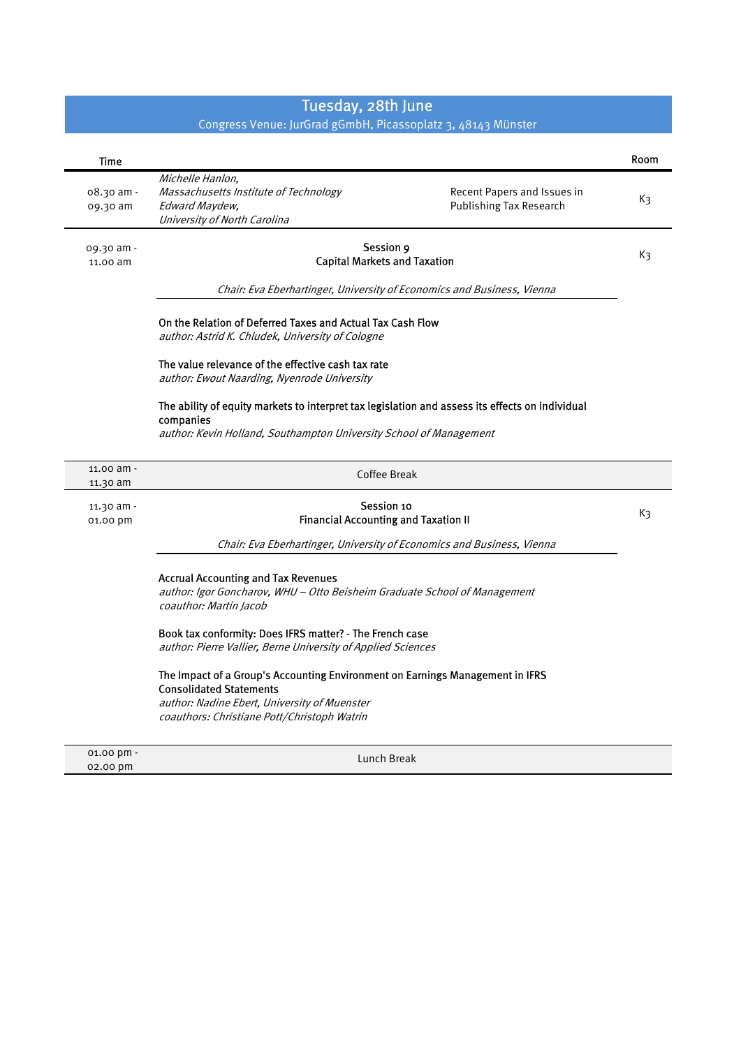# Tuesday, 28th June

#### Congress Venue: JurGrad gGmbH, Picassoplatz 3, 48143 Münster

| Time       |                                                                                                 |                             | Room |
|------------|-------------------------------------------------------------------------------------------------|-----------------------------|------|
|            | Michelle Hanlon,                                                                                |                             |      |
| 08.30 am - | Massachusetts Institute of Technology                                                           | Recent Papers and Issues in | Kз   |
| 09.30 am   | Edward Maydew,<br>University of North Carolina                                                  | Publishing Tax Research     |      |
|            |                                                                                                 |                             |      |
| 09.30 am - | Session 9                                                                                       |                             | K3   |
| 11.00 am   | <b>Capital Markets and Taxation</b>                                                             |                             |      |
|            | Chair: Eva Eberhartinger, University of Economics and Business, Vienna                          |                             |      |
|            | On the Relation of Deferred Taxes and Actual Tax Cash Flow                                      |                             |      |
|            | author: Astrid K. Chludek, University of Cologne                                                |                             |      |
|            | The value relevance of the effective cash tax rate                                              |                             |      |
|            | author: Ewout Naarding, Nyenrode University                                                     |                             |      |
|            | The ability of equity markets to interpret tax legislation and assess its effects on individual |                             |      |
|            | companies<br>author: Kevin Holland, Southampton University School of Management                 |                             |      |
|            |                                                                                                 |                             |      |
| 11.00 am - | Coffee Break                                                                                    |                             |      |
| 11.30 am   |                                                                                                 |                             |      |
| 11.30 am - | Session 10                                                                                      |                             | K3   |
| 01.00 pm   | <b>Financial Accounting and Taxation II</b>                                                     |                             |      |
|            | Chair: Eva Eberhartinger, University of Economics and Business, Vienna                          |                             |      |
|            | <b>Accrual Accounting and Tax Revenues</b>                                                      |                             |      |
|            | author: Igor Goncharov, WHU - Otto Beisheim Graduate School of Management                       |                             |      |
|            | coauthor: Martin Jacob                                                                          |                             |      |
|            | Book tax conformity: Does IFRS matter? - The French case                                        |                             |      |
|            | author: Pierre Vallier, Berne University of Applied Sciences                                    |                             |      |
|            | The Impact of a Group's Accounting Environment on Earnings Management in IFRS                   |                             |      |
|            | <b>Consolidated Statements</b><br>author: Nadine Ebert, University of Muenster                  |                             |      |
|            | coauthors: Christiane Pott/Christoph Watrin                                                     |                             |      |
|            |                                                                                                 |                             |      |
| 01.00 pm - | Lunch Break                                                                                     |                             |      |
|            |                                                                                                 |                             |      |

02.00 pm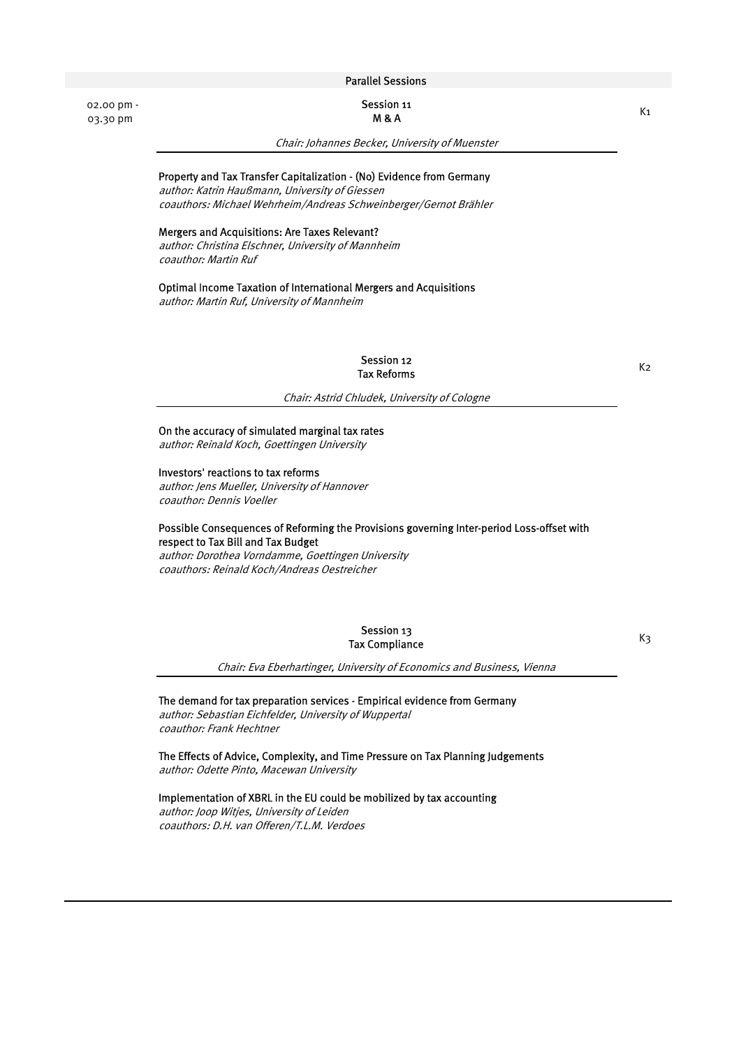Session 11 M & A

Chair: Johannes Becker, University of Muenster

# Property and Tax Transfer Capitalization - (No) Evidence from Germany

author: Katrin Haußmann, University of Giessen coauthors: Michael Wehrheim/Andreas Schweinberger/Gernot Brähler

#### Mergers and Acquisitions: Are Taxes Relevant?

 02.00 pm - 03.30 pm

> author: Christina Elschner, University of Mannheim coauthor: Martin Ruf

#### Optimal Income Taxation of International Mergers and Acquisitions

author: Martin Ruf, University of Mannheim

#### Session 12<br>Fax Beforme Tax Reforms

#### Chair: Astrid Chludek, University of Cologne

On the accuracy of simulated marginal tax rates

author: Reinald Koch, Goettingen University

#### Investors' reactions to tax reforms

author: Jens Mueller, University of Hannover coauthor: Dennis Voeller

#### Possible Consequences of Reforming the Provisions governing Inter-period Loss-offset with respect to Tax Bill and Tax Budget

author: Dorothea Vorndamme, Goettingen University coauthors: Reinald Koch/Andreas Oestreicher

> Session 13 Tax Compliance

K3

Chair: Eva Eberhartinger, University of Economics and Business, Vienna

#### The demand for tax preparation services - Empirical evidence from Germany

author: Sebastian Eichfelder, University of Wuppertal coauthor: Frank Hechtner

The Effects of Advice, Complexity, and Time Pressure on Tax Planning Judgements author: Odette Pinto, Macewan University

# Implementation of XBRL in the EU could be mobilized by tax accounting

author: Joop Witjes, University of Leiden coauthors: D.H. van Offeren/T.L.M. Verdoes